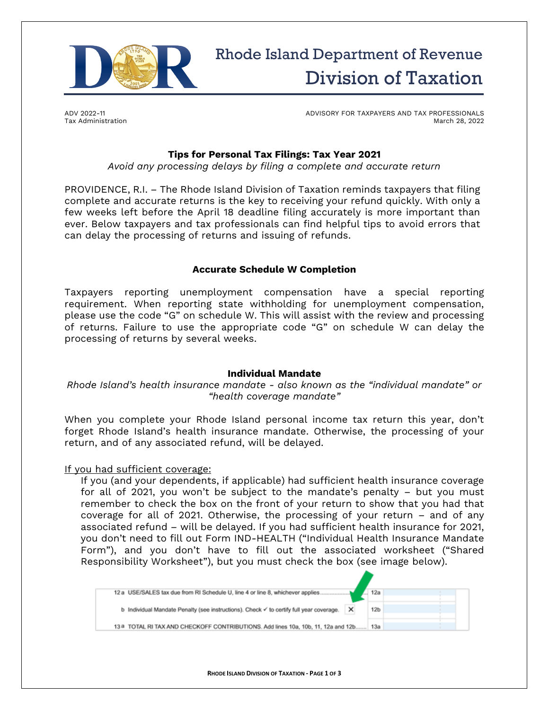

ADV 2022-11 Tax Administration ADVISORY FOR TAXPAYERS AND TAX PROFESSIONALS March 28, 2022

# **Tips for Personal Tax Filings: Tax Year 2021**

*Avoid any processing delays by filing a complete and accurate return*

PROVIDENCE, R.I. – The Rhode Island Division of Taxation reminds taxpayers that filing complete and accurate returns is the key to receiving your refund quickly. With only a few weeks left before the April 18 deadline filing accurately is more important than ever. Below taxpayers and tax professionals can find helpful tips to avoid errors that can delay the processing of returns and issuing of refunds.

### **Accurate Schedule W Completion**

Taxpayers reporting unemployment compensation have a special reporting requirement. When reporting state withholding for unemployment compensation, please use the code "G" on schedule W. This will assist with the review and processing of returns. Failure to use the appropriate code "G" on schedule W can delay the processing of returns by several weeks.

#### **Individual Mandate**

*Rhode Island's health insurance mandate - also known as the "individual mandate" or "health coverage mandate"*

When you complete your Rhode Island personal income tax return this year, don't forget Rhode Island's health insurance mandate. Otherwise, the processing of your return, and of any associated refund, will be delayed.

#### If you had sufficient coverage:

If you (and your dependents, if applicable) had sufficient health insurance coverage for all of 2021, you won't be subject to the mandate's penalty – but you must remember to check the box on the front of your return to show that you had that coverage for all of 2021. Otherwise, the processing of your return – and of any associated refund – will be delayed. If you had sufficient health insurance for 2021, you don't need to fill out Form IND-HEALTH ("Individual Health Insurance Mandate Form"), and you don't have to fill out the associated worksheet ("Shared Responsibility Worksheet"), but you must check the box (see image below).

| 12 a USE/SALES tax due from RI Schedule U, line 4 or line 8, whichever applies          | $\blacksquare$ 12a |
|-----------------------------------------------------------------------------------------|--------------------|
| b Individual Mandate Penalty (see instructions). Check v to certify full year coverage. | 12 <sub>b</sub>    |
| 138 TOTAL RI TAX AND CHECKOFF CONTRIBUTIONS. Add lines 10a, 10b, 11, 12a and 12b 13a    |                    |
|                                                                                         |                    |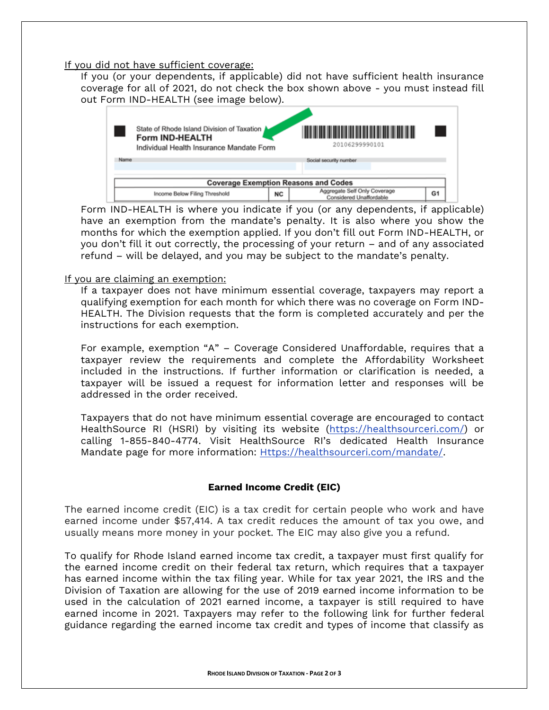#### If you did not have sufficient coverage:

If you (or your dependents, if applicable) did not have sufficient health insurance coverage for all of 2021, do not check the box shown above - you must instead fill out Form IND-HEALTH (see image below).



Form IND-HEALTH is where you indicate if you (or any dependents, if applicable) have an exemption from the mandate's penalty. It is also where you show the months for which the exemption applied. If you don't fill out Form IND-HEALTH, or you don't fill it out correctly, the processing of your return – and of any associated refund – will be delayed, and you may be subject to the mandate's penalty.

### If you are claiming an exemption:

If a taxpayer does not have minimum essential coverage, taxpayers may report a qualifying exemption for each month for which there was no coverage on Form IND-HEALTH. The Division requests that the form is completed accurately and per the instructions for each exemption.

For example, exemption "A" – Coverage Considered Unaffordable, requires that a taxpayer review the requirements and complete the Affordability Worksheet included in the instructions. If further information or clarification is needed, a taxpayer will be issued a request for information letter and responses will be addressed in the order received.

Taxpayers that do not have minimum essential coverage are encouraged to contact HealthSource RI (HSRI) by visiting its website [\(https://healthsourceri.com/\)](https://healthsourceri.com/) or calling 1-855-840-4774. Visit HealthSource RI's dedicated Health Insurance Mandate page for more information: **Https://healthsourceri.com/mandate/.** 

## **Earned Income Credit (EIC)**

The earned income credit (EIC) is a tax credit for certain people who work and have earned income under \$57,414. A tax credit reduces the amount of tax you owe, and usually means more money in your pocket. The EIC may also give you a refund.

To qualify for Rhode Island earned income tax credit, a taxpayer must first qualify for the earned income credit on their federal tax return, which requires that a taxpayer has earned income within the tax filing year. While for tax year 2021, the IRS and the Division of Taxation are allowing for the use of 2019 earned income information to be used in the calculation of 2021 earned income, a taxpayer is still required to have earned income in 2021. Taxpayers may refer to the following link for further federal guidance regarding the earned income tax credit and types of income that classify as